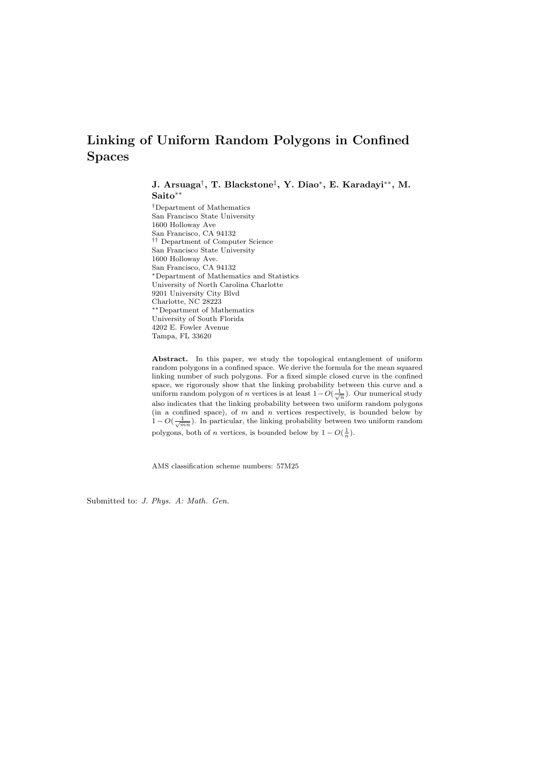# Linking of Uniform Random Polygons in Confined Spaces

J. Arsuaga† , T. Blackstone‡ , Y. Diao<sup>∗</sup> , E. Karadayi∗∗, M. Saito∗∗

†Department of Mathematics San Francisco State University 1600 Holloway Ave San Francisco, CA 94132 †† Department of Computer Science San Francisco State University 1600 Holloway Ave. San Francisco, CA 94132 <sup>∗</sup>Department of Mathematics and Statistics University of North Carolina Charlotte 9201 University City Blvd Charlotte, NC 28223 ∗∗Department of Mathematics University of South Florida 4202 E. Fowler Avenue Tampa, FL 33620

Abstract. In this paper, we study the topological entanglement of uniform random polygons in a confined space. We derive the formula for the mean squared linking number of such polygons. For a fixed simple closed curve in the confined space, we rigorously show that the linking probability between this curve and a uniform random polygon of *n* vertices is at least  $1-O(\frac{1}{\sqrt{n}})$ . Our numerical study also indicates that the linking probability between two uniform random polygons (in a confined space), of  $m$  and  $n$  vertices respectively, is bounded below by  $1 - O(\frac{1}{\sqrt{mn}})$ . In particular, the linking probability between two uniform random polygons, both of *n* vertices, is bounded below by  $1 - O(\frac{1}{n})$ .

AMS classification scheme numbers: 57M25

Submitted to: J. Phys. A: Math. Gen.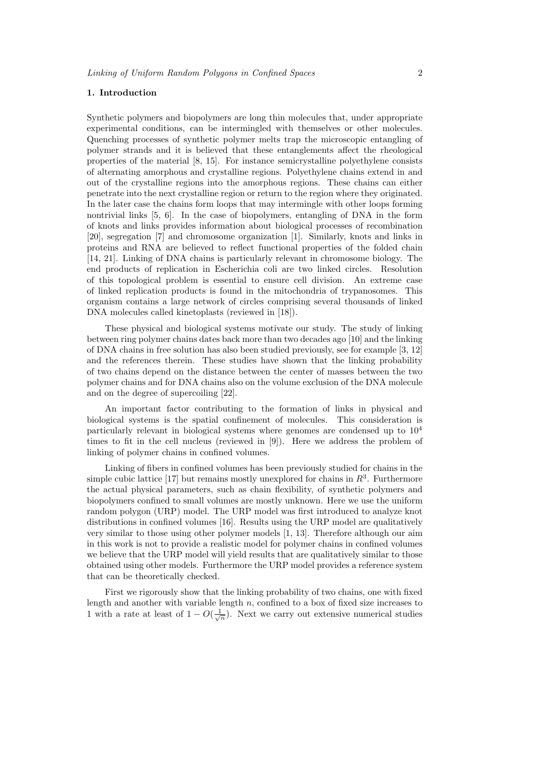## 1. Introduction

Synthetic polymers and biopolymers are long thin molecules that, under appropriate experimental conditions, can be intermingled with themselves or other molecules. Quenching processes of synthetic polymer melts trap the microscopic entangling of polymer strands and it is believed that these entanglements affect the rheological properties of the material [8, 15]. For instance semicrystalline polyethylene consists of alternating amorphous and crystalline regions. Polyethylene chains extend in and out of the crystalline regions into the amorphous regions. These chains can either penetrate into the next crystalline region or return to the region where they originated. In the later case the chains form loops that may intermingle with other loops forming nontrivial links [5, 6]. In the case of biopolymers, entangling of DNA in the form of knots and links provides information about biological processes of recombination [20], segregation [7] and chromosome organization [1]. Similarly, knots and links in proteins and RNA are believed to reflect functional properties of the folded chain [14, 21]. Linking of DNA chains is particularly relevant in chromosome biology. The end products of replication in Escherichia coli are two linked circles. Resolution of this topological problem is essential to ensure cell division. An extreme case of linked replication products is found in the mitochondria of trypanosomes. This organism contains a large network of circles comprising several thousands of linked DNA molecules called kinetoplasts (reviewed in [18]).

These physical and biological systems motivate our study. The study of linking between ring polymer chains dates back more than two decades ago [10] and the linking of DNA chains in free solution has also been studied previously, see for example [3, 12] and the references therein. These studies have shown that the linking probability of two chains depend on the distance between the center of masses between the two polymer chains and for DNA chains also on the volume exclusion of the DNA molecule and on the degree of supercoiling [22].

An important factor contributing to the formation of links in physical and biological systems is the spatial confinement of molecules. This consideration is particularly relevant in biological systems where genomes are condensed up to  $10<sup>4</sup>$ times to fit in the cell nucleus (reviewed in [9]). Here we address the problem of linking of polymer chains in confined volumes.

Linking of fibers in confined volumes has been previously studied for chains in the simple cubic lattice [17] but remains mostly unexplored for chains in  $R<sup>3</sup>$ . Furthermore the actual physical parameters, such as chain flexibility, of synthetic polymers and biopolymers confined to small volumes are mostly unknown. Here we use the uniform random polygon (URP) model. The URP model was first introduced to analyze knot distributions in confined volumes [16]. Results using the URP model are qualitatively very similar to those using other polymer models [1, 13]. Therefore although our aim in this work is not to provide a realistic model for polymer chains in confined volumes we believe that the URP model will yield results that are qualitatively similar to those obtained using other models. Furthermore the URP model provides a reference system that can be theoretically checked.

First we rigorously show that the linking probability of two chains, one with fixed length and another with variable length  $n$ , confined to a box of fixed size increases to 1 with a rate at least of  $1 - O(\frac{1}{\sqrt{n}})$ . Next we carry out extensive numerical studies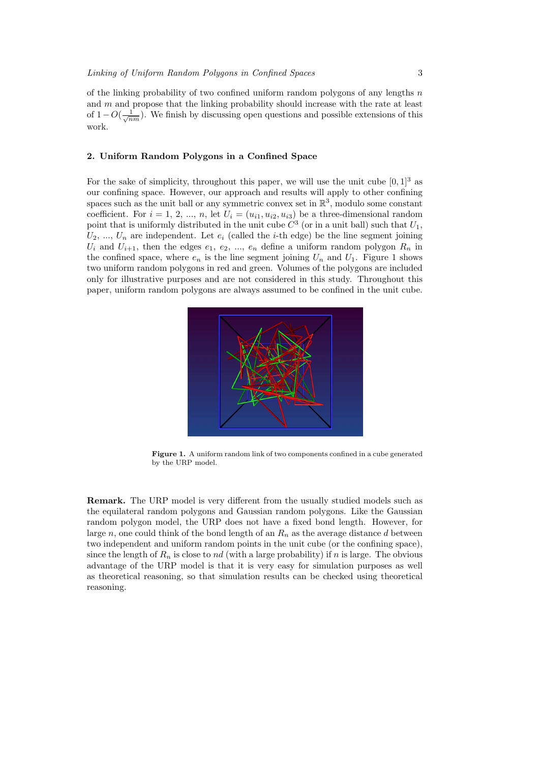of the linking probability of two confined uniform random polygons of any lengths  $n$ and  $m$  and propose that the linking probability should increase with the rate at least of  $1-O(\frac{1}{\sqrt{nm}})$ . We finish by discussing open questions and possible extensions of this work.

#### 2. Uniform Random Polygons in a Confined Space

For the sake of simplicity, throughout this paper, we will use the unit cube  $[0, 1]^3$  as our confining space. However, our approach and results will apply to other confining spaces such as the unit ball or any symmetric convex set in  $\mathbb{R}^3$ , modulo some constant coefficient. For  $i = 1, 2, ..., n$ , let  $U_i = (u_{i1}, u_{i2}, u_{i3})$  be a three-dimensional random point that is uniformly distributed in the unit cube  $C^3$  (or in a unit ball) such that  $U_1$ ,  $U_2, ..., U_n$  are independent. Let  $e_i$  (called the *i*-th edge) be the line segment joining  $U_i$  and  $U_{i+1}$ , then the edges  $e_1, e_2, ..., e_n$  define a uniform random polygon  $R_n$  in the confined space, where  $e_n$  is the line segment joining  $U_n$  and  $U_1$ . Figure 1 shows two uniform random polygons in red and green. Volumes of the polygons are included only for illustrative purposes and are not considered in this study. Throughout this paper, uniform random polygons are always assumed to be confined in the unit cube.



Figure 1. A uniform random link of two components confined in a cube generated by the URP model.

Remark. The URP model is very different from the usually studied models such as the equilateral random polygons and Gaussian random polygons. Like the Gaussian random polygon model, the URP does not have a fixed bond length. However, for large n, one could think of the bond length of an  $R_n$  as the average distance d between two independent and uniform random points in the unit cube (or the confining space), since the length of  $R_n$  is close to nd (with a large probability) if n is large. The obvious advantage of the URP model is that it is very easy for simulation purposes as well as theoretical reasoning, so that simulation results can be checked using theoretical reasoning.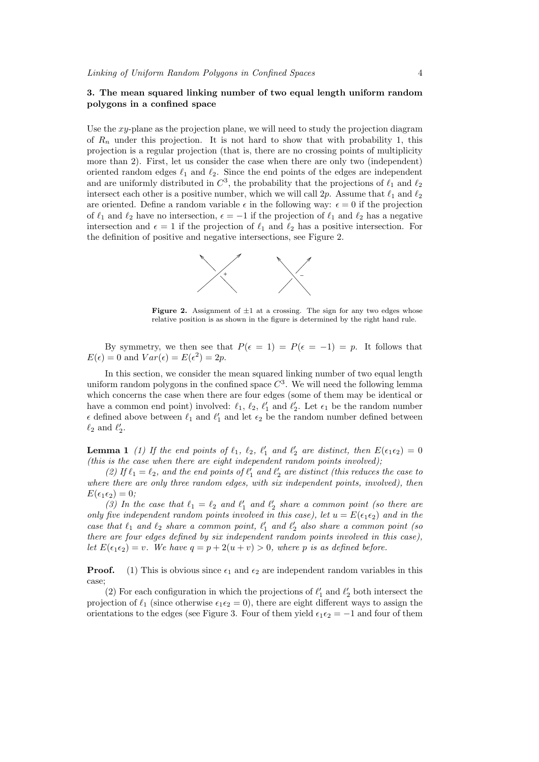## 3. The mean squared linking number of two equal length uniform random polygons in a confined space

Use the  $xy$ -plane as the projection plane, we will need to study the projection diagram of  $R_n$  under this projection. It is not hard to show that with probability 1, this projection is a regular projection (that is, there are no crossing points of multiplicity more than 2). First, let us consider the case when there are only two (independent) oriented random edges  $\ell_1$  and  $\ell_2$ . Since the end points of the edges are independent and are uniformly distributed in  $C^3$ , the probability that the projections of  $\ell_1$  and  $\ell_2$ intersect each other is a positive number, which we will call 2p. Assume that  $\ell_1$  and  $\ell_2$ are oriented. Define a random variable  $\epsilon$  in the following way:  $\epsilon = 0$  if the projection of  $\ell_1$  and  $\ell_2$  have no intersection,  $\epsilon = -1$  if the projection of  $\ell_1$  and  $\ell_2$  has a negative intersection and  $\epsilon = 1$  if the projection of  $\ell_1$  and  $\ell_2$  has a positive intersection. For the definition of positive and negative intersections, see Figure 2.



Figure 2. Assignment of  $\pm 1$  at a crossing. The sign for any two edges whose relative position is as shown in the figure is determined by the right hand rule.

By symmetry, we then see that  $P(\epsilon = 1) = P(\epsilon = -1) = p$ . It follows that  $E(\epsilon) = 0$  and  $Var(\epsilon) = E(\epsilon^2) = 2p$ .

In this section, we consider the mean squared linking number of two equal length uniform random polygons in the confined space  $C<sup>3</sup>$ . We will need the following lemma which concerns the case when there are four edges (some of them may be identical or have a common end point) involved:  $\ell_1, \ell_2, \ell'_1$  and  $\ell'_2$ . Let  $\epsilon_1$  be the random number  $\epsilon$  defined above between  $\ell_1$  and  $\ell'_1$  and let  $\epsilon_2$  be the random number defined between  $\ell_2$  and  $\ell'_2$ .

**Lemma 1** (1) If the end points of  $\ell_1$ ,  $\ell_2$ ,  $\ell'_1$  and  $\ell'_2$  are distinct, then  $E(\epsilon_1 \epsilon_2) = 0$ (this is the case when there are eight independent random points involved);

(2) If  $\ell_1 = \ell_2$ , and the end points of  $\ell'_1$  and  $\ell'_2$  are distinct (this reduces the case to where there are only three random edges, with six independent points, involved), then  $E(\epsilon_1 \epsilon_2) = 0;$ 

(3) In the case that  $\ell_1 = \ell_2$  and  $\ell'_1$  and  $\ell'_2$  share a common point (so there are only five independent random points involved in this case), let  $u = E(\epsilon_1 \epsilon_2)$  and in the case that  $\ell_1$  and  $\ell_2$  share a common point,  $\ell'_1$  and  $\ell'_2$  also share a common point (so there are four edges defined by six independent random points involved in this case), let  $E(\epsilon_1 \epsilon_2) = v$ . We have  $q = p + 2(u + v) > 0$ , where p is as defined before.

**Proof.** (1) This is obvious since  $\epsilon_1$  and  $\epsilon_2$  are independent random variables in this case;

(2) For each configuration in which the projections of  $\ell'_1$  and  $\ell'_2$  both intersect the projection of  $\ell_1$  (since otherwise  $\epsilon_1 \epsilon_2 = 0$ ), there are eight different ways to assign the orientations to the edges (see Figure 3. Four of them yield  $\epsilon_1 \epsilon_2 = -1$  and four of them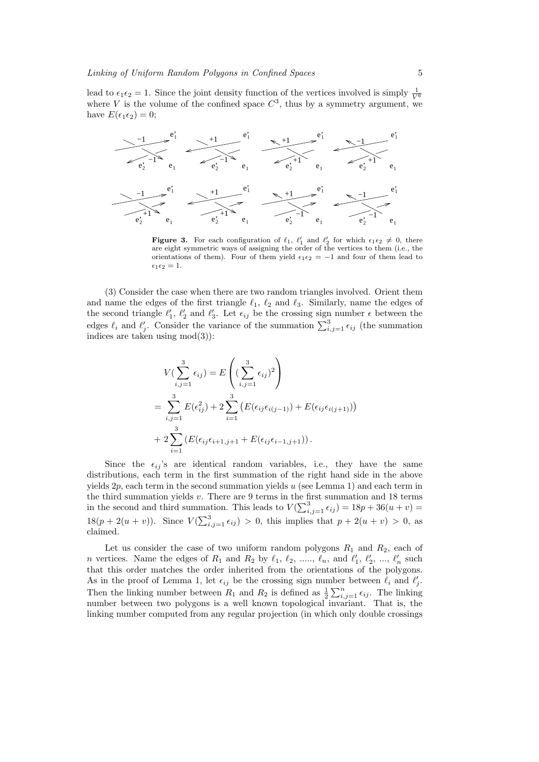lead to  $\epsilon_1 \epsilon_2 = 1$ . Since the joint density function of the vertices involved is simply  $\frac{1}{V^6}$ where V is the volume of the confined space  $C^3$ , thus by a symmetry argument, we have  $E(\epsilon_1 \epsilon_2) = 0$ ;



**Figure 3.** For each configuration of  $\ell_1$ ,  $\ell'_1$  and  $\ell'_2$  for which  $\epsilon_1 \epsilon_2 \neq 0$ , there are eight symmetric ways of assigning the order of the vertices to them (i.e., the orientations of them). Four of them yield  $\epsilon_1 \epsilon_2 = -1$  and four of them lead to  $\epsilon_1 \epsilon_2 = 1.$ 

(3) Consider the case when there are two random triangles involved. Orient them and name the edges of the first triangle  $\ell_1$ ,  $\ell_2$  and  $\ell_3$ . Similarly, name the edges of the second triangle  $\ell'_1$ ,  $\ell'_2$  and  $\ell'_3$ . Let  $\epsilon_{ij}$  be the crossing sign number  $\epsilon$  between the edges  $\ell_i$  and  $\ell'_j$ . Consider the variance of the summation  $\sum_{i,j=1}^3 \epsilon_{ij}$  (the summation indices are taken using  $mod(3)$ :

$$
V(\sum_{i,j=1}^{3} \epsilon_{ij}) = E\left((\sum_{i,j=1}^{3} \epsilon_{ij})^{2}\right)
$$
  
=  $\sum_{i,j=1}^{3} E(\epsilon_{ij}^{2}) + 2 \sum_{i=1}^{3} (E(\epsilon_{ij}\epsilon_{i(j-1)}) + E(\epsilon_{ij}\epsilon_{i(j+1)}))$   
+  $2 \sum_{i=1}^{3} (E(\epsilon_{ij}\epsilon_{i+1,j+1} + E(\epsilon_{ij}\epsilon_{i-1,j+1})).$ 

Since the  $\epsilon_{ij}$ 's are identical random variables, i.e., they have the same distributions, each term in the first summation of the right hand side in the above yields  $2p$ , each term in the second summation yields u (see Lemma 1) and each term in the third summation yields  $v$ . There are 9 terms in the first summation and 18 terms in the second and third summation. This leads to  $V(\sum_{i,j=1}^{3} \epsilon_{ij}) = 18p + 36(u + v) =$ 18 $(p+2(u+v))$ . Since  $V(\sum_{i,j=1}^{3} \epsilon_{ij}) > 0$ , this implies that  $p + 2(u+v) > 0$ , as claimed.

Let us consider the case of two uniform random polygons  $R_1$  and  $R_2$ , each of *n* vertices. Name the edges of  $R_1$  and  $R_2$  by  $\ell_1, \ell_2, \ldots, \ell_n$ , and  $\ell'_1, \ell'_2, \ldots, \ell'_n$  such that this order matches the order inherited from the orientations of the polygons. As in the proof of Lemma 1, let  $\epsilon_{ij}$  be the crossing sign number between  $\ell_i$  and  $\ell'_j$ . Then the linking number between  $R_1$  and  $R_2$  is defined as  $\frac{1}{2}$ first between  $\epsilon_i$  and  $\epsilon_j$ .<br> $\sum_{i,j=1}^n \epsilon_{ij}$ . The linking number between two polygons is a well known topological invariant. That is, the linking number computed from any regular projection (in which only double crossings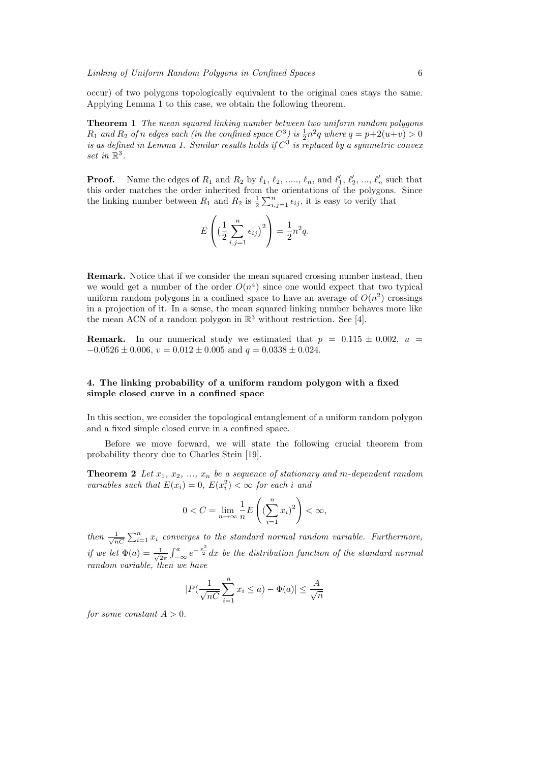occur) of two polygons topologically equivalent to the original ones stays the same. Applying Lemma 1 to this case, we obtain the following theorem.

Theorem 1 The mean squared linking number between two uniform random polygons  $R_1$  and  $R_2$  of n edges each (in the confined space  $C^3$ ) is  $\frac{1}{2}n^2q$  where  $q = p+2(u+v) > 0$ is as defined in Lemma 1. Similar results holds if  $C^3$  is replaced by a symmetric convex set in  $\mathbb{R}^3$ .

**Proof.** Name the edges of  $R_1$  and  $R_2$  by  $\ell_1, \ell_2, \ldots, \ell_n$ , and  $\ell'_1, \ell'_2, \ldots, \ell'_n$  such that this order matches the order inherited from the orientations of the polygons. Since the linking number between  $P_n$  and  $P_n$  is  $\frac{1}{n} \sum_{i=1}^{n}$  is it is easy to unify that the linking number between  $R_1$  and  $R_2$  is  $\frac{1}{2} \sum_{i,j=1}^n \epsilon_{ij}$ , it is easy to verify that

$$
E\left(\left(\frac{1}{2}\sum_{i,j=1}^n\epsilon_{ij}\right)^2\right)=\frac{1}{2}n^2q.
$$

Remark. Notice that if we consider the mean squared crossing number instead, then we would get a number of the order  $O(n^4)$  since one would expect that two typical uniform random polygons in a confined space to have an average of  $O(n^2)$  crossings in a projection of it. In a sense, the mean squared linking number behaves more like the mean ACN of a random polygon in  $\mathbb{R}^3$  without restriction. See [4].

**Remark.** In our numerical study we estimated that  $p = 0.115 \pm 0.002$ ,  $u =$  $-0.0526 \pm 0.006$ ,  $v = 0.012 \pm 0.005$  and  $q = 0.0338 \pm 0.024$ .

# 4. The linking probability of a uniform random polygon with a fixed simple closed curve in a confined space

In this section, we consider the topological entanglement of a uniform random polygon and a fixed simple closed curve in a confined space.

Before we move forward, we will state the following crucial theorem from probability theory due to Charles Stein [19].

**Theorem 2** Let  $x_1, x_2, ..., x_n$  be a sequence of stationary and m-dependent random variables such that  $E(x_i) = 0$ ,  $E(x_i^2) < \infty$  for each i and

$$
0 < C = \lim_{n \to \infty} \frac{1}{n} E\left( \left( \sum_{i=1}^{n} x_i \right)^2 \right) < \infty,
$$

then  $\frac{1}{\sqrt{2}}$  $_{nC}$  $\sum_{i=1}^{n} x_i$  converges to the standard normal random variable. Furthermore, if we let  $\Phi(a) = \frac{1}{\sqrt{2}}$  $\overline{2\pi}$  $\int a$  $\int_{-\infty}^a e^{-\frac{x^2}{2}} dx$  be the distribution function of the standard normal random variable, then we have

$$
|P(\frac{1}{\sqrt{nC}}\sum_{i=1}^nx_i\leq a)-\Phi(a)|\leq \frac{A}{\sqrt{n}}
$$

for some constant  $A > 0$ .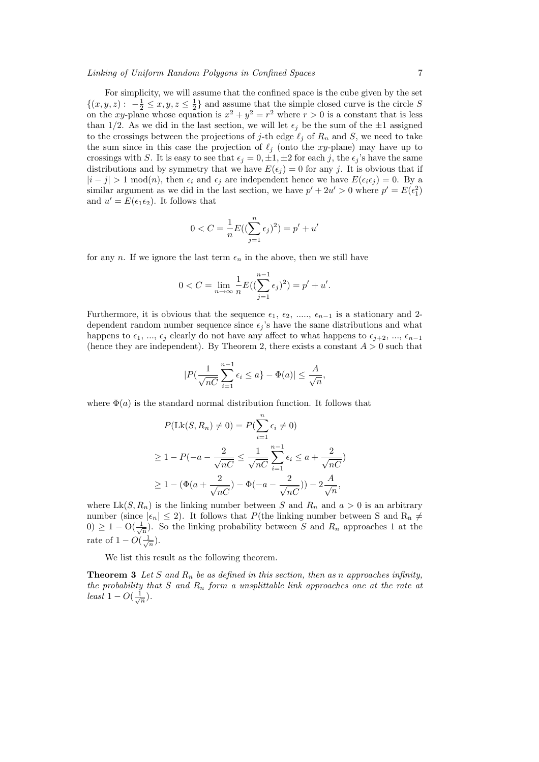For simplicity, we will assume that the confined space is the cube given by the set  $\{(x, y, z): -\frac{1}{2} \leq x, y, z \leq \frac{1}{2}\}\$ and assume that the simple closed curve is the circle S on the xy-plane whose equation is  $x^2 + y^2 = r^2$  where  $r > 0$  is a constant that is less than 1/2. As we did in the last section, we will let  $\epsilon_i$  be the sum of the  $\pm 1$  assigned to the crossings between the projections of j-th edge  $\ell_j$  of  $R_n$  and S, we need to take the sum since in this case the projection of  $\ell_j$  (onto the xy-plane) may have up to crossings with S. It is easy to see that  $\epsilon_j = 0, \pm 1, \pm 2$  for each j, the  $\epsilon_j$ 's have the same distributions and by symmetry that we have  $E(\epsilon_j) = 0$  for any j. It is obvious that if  $|i-j| > 1 \text{ mod}(n)$ , then  $\epsilon_i$  and  $\epsilon_j$  are independent hence we have  $E(\epsilon_i \epsilon_j) = 0$ . By a similar argument as we did in the last section, we have  $p' + 2u' > 0$  where  $p' = E(\epsilon_1^2)$ and  $u' = E(\epsilon_1 \epsilon_2)$ . It follows that

$$
0 < C = \frac{1}{n} E\left( (\sum_{j=1}^{n} \epsilon_j)^2 \right) = p' + u'
$$

for any n. If we ignore the last term  $\epsilon_n$  in the above, then we still have

$$
0 < C = \lim_{n \to \infty} \frac{1}{n} E\left(\left(\sum_{j=1}^{n-1} \epsilon_j\right)^2\right) = p' + u'.
$$

Furthermore, it is obvious that the sequence  $\epsilon_1$ ,  $\epsilon_2$ , ....,  $\epsilon_{n-1}$  is a stationary and 2dependent random number sequence since  $\epsilon_j$ 's have the same distributions and what happens to  $\epsilon_1, ..., \epsilon_j$  clearly do not have any affect to what happens to  $\epsilon_{i+2}, ..., \epsilon_{n-1}$ (hence they are independent). By Theorem 2, there exists a constant  $A > 0$  such that

$$
|P(\frac{1}{\sqrt{nC}}\sum_{i=1}^{n-1}\epsilon_i \le a\} - \Phi(a)| \le \frac{A}{\sqrt{n}},
$$

where  $\Phi(a)$  is the standard normal distribution function. It follows that

$$
P(\text{Lk}(S, R_n) \neq 0) = P(\sum_{i=1}^n \epsilon_i \neq 0)
$$
  
\n
$$
\geq 1 - P(-a - \frac{2}{\sqrt{nC}} \leq \frac{1}{\sqrt{nC}} \sum_{i=1}^{n-1} \epsilon_i \leq a + \frac{2}{\sqrt{nC}})
$$
  
\n
$$
\geq 1 - (\Phi(a + \frac{2}{\sqrt{nC}}) - \Phi(-a - \frac{2}{\sqrt{nC}})) - 2\frac{A}{\sqrt{n}},
$$

where  $Lk(S, R_n)$  is the linking number between S and  $R_n$  and  $a > 0$  is an arbitrary number (since  $|\epsilon_n| \leq 2$ ). It follows that P(the linking number between S and R<sub>n</sub>  $\neq$  $(0) \geq 1 - \mathcal{O}(\frac{1}{\sqrt{n}})$ . So the linking probability between S and  $R_n$  approaches 1 at the rate of  $1 - O(\frac{1}{\sqrt{n}})$ .

We list this result as the following theorem.

**Theorem 3** Let S and  $R_n$  be as defined in this section, then as n approaches infinity, the probability that S and  $R_n$  form a unsplittable link approaches one at the rate at least  $1 - O(\frac{1}{\sqrt{n}})$ .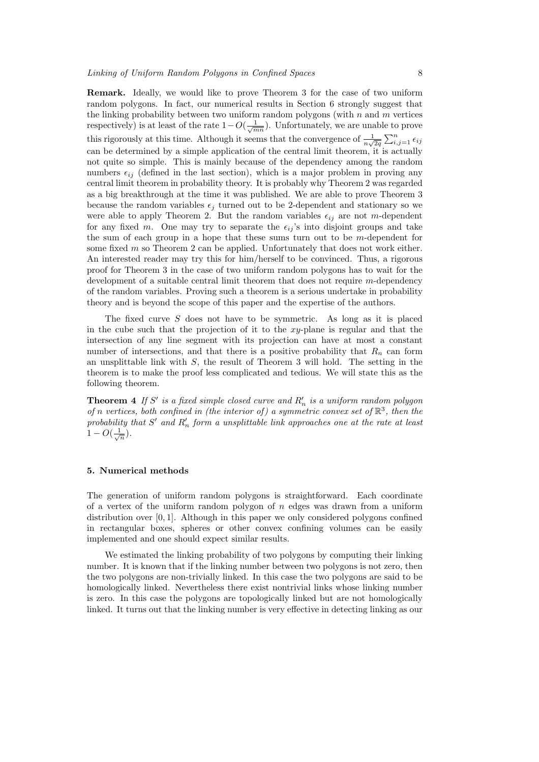Remark. Ideally, we would like to prove Theorem 3 for the case of two uniform random polygons. In fact, our numerical results in Section 6 strongly suggest that the linking probability between two uniform random polygons (with  $n$  and  $m$  vertices respectively) is at least of the rate  $1-O(\frac{1}{\sqrt{mn}})$ . Unfortunately, we are unable to prove this rigorously at this time. Although it seems that the convergence of  $\frac{1}{n\sqrt{2q}}$  $\sum_{i,j=1}^n \epsilon_{ij}$ can be determined by a simple application of the central limit theorem, it is actually not quite so simple. This is mainly because of the dependency among the random numbers  $\epsilon_{ij}$  (defined in the last section), which is a major problem in proving any central limit theorem in probability theory. It is probably why Theorem 2 was regarded as a big breakthrough at the time it was published. We are able to prove Theorem 3 because the random variables  $\epsilon_j$  turned out to be 2-dependent and stationary so we were able to apply Theorem 2. But the random variables  $\epsilon_{ij}$  are not m-dependent for any fixed m. One may try to separate the  $\epsilon_{ij}$ 's into disjoint groups and take the sum of each group in a hope that these sums turn out to be m-dependent for some fixed  $m$  so Theorem 2 can be applied. Unfortunately that does not work either. An interested reader may try this for him/herself to be convinced. Thus, a rigorous proof for Theorem 3 in the case of two uniform random polygons has to wait for the development of a suitable central limit theorem that does not require m-dependency of the random variables. Proving such a theorem is a serious undertake in probability theory and is beyond the scope of this paper and the expertise of the authors.

The fixed curve S does not have to be symmetric. As long as it is placed in the cube such that the projection of it to the  $xy$ -plane is regular and that the intersection of any line segment with its projection can have at most a constant number of intersections, and that there is a positive probability that  $R_n$  can form an unsplittable link with  $S$ , the result of Theorem 3 will hold. The setting in the theorem is to make the proof less complicated and tedious. We will state this as the following theorem.

**Theorem 4** If S' is a fixed simple closed curve and  $R'_n$  is a uniform random polygon of n vertices, both confined in (the interior of) a symmetric convex set of  $\mathbb{R}^3$ , then the probability that  $S'$  and  $R'_n$  form a unsplittable link approaches one at the rate at least  $1 - O(\frac{1}{\sqrt{n}}).$ 

## 5. Numerical methods

The generation of uniform random polygons is straightforward. Each coordinate of a vertex of the uniform random polygon of  $n$  edges was drawn from a uniform distribution over  $[0, 1]$ . Although in this paper we only considered polygons confined in rectangular boxes, spheres or other convex confining volumes can be easily implemented and one should expect similar results.

We estimated the linking probability of two polygons by computing their linking number. It is known that if the linking number between two polygons is not zero, then the two polygons are non-trivially linked. In this case the two polygons are said to be homologically linked. Nevertheless there exist nontrivial links whose linking number is zero. In this case the polygons are topologically linked but are not homologically linked. It turns out that the linking number is very effective in detecting linking as our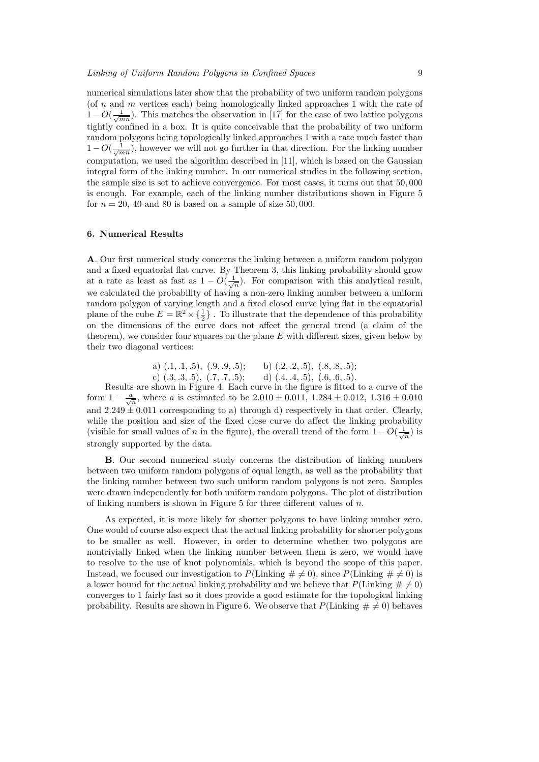numerical simulations later show that the probability of two uniform random polygons (of n and m vertices each) being homologically linked approaches 1 with the rate of  $1 - O(\frac{1}{\sqrt{mn}})$ . This matches the observation in [17] for the case of two lattice polygons tightly confined in a box. It is quite conceivable that the probability of two uniform random polygons being topologically linked approaches 1 with a rate much faster than  $1 - O(\frac{1}{\sqrt{mn}})$ , however we will not go further in that direction. For the linking number computation, we used the algorithm described in [11], which is based on the Gaussian integral form of the linking number. In our numerical studies in the following section, the sample size is set to achieve convergence. For most cases, it turns out that 50, 000 is enough. For example, each of the linking number distributions shown in Figure 5 for  $n = 20$ , 40 and 80 is based on a sample of size 50,000.

# 6. Numerical Results

A. Our first numerical study concerns the linking between a uniform random polygon and a fixed equatorial flat curve. By Theorem 3, this linking probability should grow at a rate as least as fast as  $1 - O(\frac{1}{\sqrt{n}})$ . For comparison with this analytical result, we calculated the probability of having a non-zero linking number between a uniform random polygon of varying length and a fixed closed curve lying flat in the equatorial plane of the cube  $E = \mathbb{R}^2 \times {\frac{1}{2}}$ . To illustrate that the dependence of this probability on the dimensions of the curve does not affect the general trend (a claim of the theorem), we consider four squares on the plane  $E$  with different sizes, given below by their two diagonal vertices:

> a)  $(.1, .1, .5), (.9, .9, .5);$  b)  $(.2, .2, .5), (.8, .8, .5);$ c)  $(.3, .3, .5), (.7, .7, .5);$  d)  $(.4, .4, .5), (.6, .6, .5).$

Results are shown in Figure 4. Each curve in the figure is fitted to a curve of the form  $1 - \frac{a}{\sqrt{n}}$ , where a is estimated to be  $2.010 \pm 0.011$ ,  $1.284 \pm 0.012$ ,  $1.316 \pm 0.010$ and  $2.249 \pm 0.011$  corresponding to a) through d) respectively in that order. Clearly, while the position and size of the fixed close curve do affect the linking probability (visible for small values of n in the figure), the overall trend of the form  $1 - O(\frac{1}{\sqrt{n}})$  is strongly supported by the data.

B. Our second numerical study concerns the distribution of linking numbers between two uniform random polygons of equal length, as well as the probability that the linking number between two such uniform random polygons is not zero. Samples were drawn independently for both uniform random polygons. The plot of distribution of linking numbers is shown in Figure 5 for three different values of  $n$ .

As expected, it is more likely for shorter polygons to have linking number zero. One would of course also expect that the actual linking probability for shorter polygons to be smaller as well. However, in order to determine whether two polygons are nontrivially linked when the linking number between them is zero, we would have to resolve to the use of knot polynomials, which is beyond the scope of this paper. Instead, we focused our investigation to  $P(\text{Linking } \# \neq 0)$ , since  $P(\text{Linking } \# \neq 0)$  is a lower bound for the actual linking probability and we believe that  $P(\text{Linking } \# \neq 0)$ converges to 1 fairly fast so it does provide a good estimate for the topological linking probability. Results are shown in Figure 6. We observe that  $P(\text{Linking } \# \neq 0)$  behaves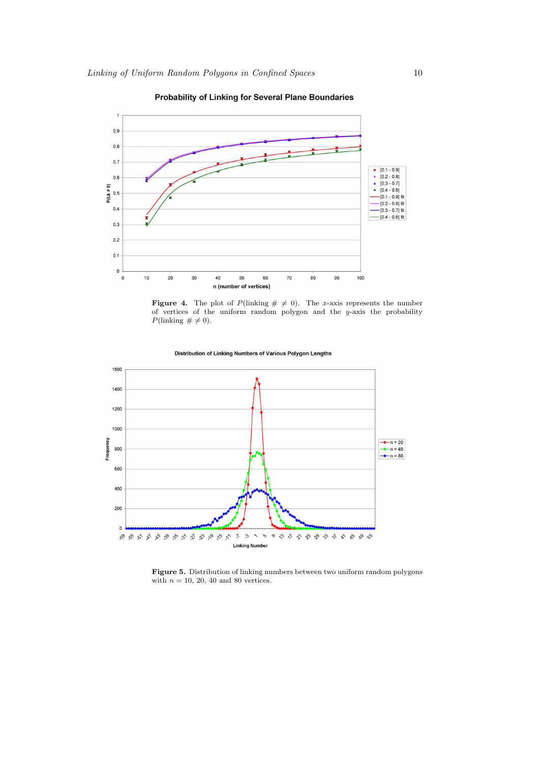

Probability of Linking for Several Plane Boundaries





Distribution of Linking Numbers of Various Polygon Lengths

Figure 5. Distribution of linking numbers between two uniform random polygons with  $n = 10, 20, 40$  and 80 vertices.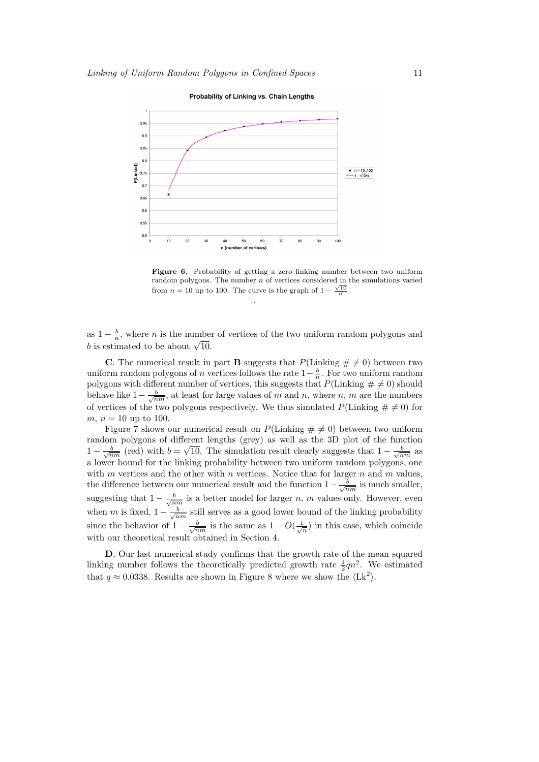

Figure 6. Probability of getting a zero linking number between two uniform random polygons. The number *n* of vertices considered in the simulations varied from  $n = 10$  up to 100. The curve is the graph of  $1 - \frac{\sqrt{10}}{n}$ 

as  $1 - \frac{b}{n}$ , where *n* is the number of vertices of the two uniform random polygons and as  $1 - \frac{1}{n}$ , where *n* is the number.<br>*b* is estimated to be about  $\sqrt{10}$ .

.

**C**. The numerical result in part **B** suggests that  $P(\text{Linking } \# \neq 0)$  between two uniform random polygons of n vertices follows the rate  $1-\frac{b}{n}$ . For two uniform random polygons with different number of vertices, this suggests that  $P(\text{Linking } \# \neq 0)$  should behave like  $1-\frac{b}{\sqrt{nm}}$ , at least for large values of m and n, where n, m are the numbers of vertices of the two polygons respectively. We thus simulated  $P(\text{Linking } \# \neq 0)$  for m,  $n = 10$  up to 100.

Figure 7 shows our numerical result on  $P(\text{Linking } \# \neq 0)$  between two uniform random polygons of different lengths (grey) as well as the 3D plot of the function  $1-\frac{b}{\sqrt{nm}}$  (red) with  $b=$ √ 10. The simulation result clearly suggests that  $1 - \frac{b}{\sqrt{nm}}$  as a lower bound for the linking probability between two uniform random polygons, one with  $m$  vertices and the other with  $n$  vertices. Notice that for larger  $n$  and  $m$  values, the difference between our numerical result and the function  $1 - \frac{b}{\sqrt{nm}}$  is much smaller, suggesting that  $1 - \frac{b}{\sqrt{nm}}$  is a better model for larger n, m values only. However, even when m is fixed,  $1 - \frac{b}{\sqrt{nm}}$  still serves as a good lower bound of the linking probability since the behavior of  $1 - \frac{b}{\sqrt{nm}}$  is the same as  $1 - O(\frac{1}{\sqrt{n}})$  in this case, which coincide with our theoretical result obtained in Section 4.

D. Our last numerical study confirms that the growth rate of the mean squared linking number follows the theoretically predicted growth rate  $\frac{1}{2}qn^2$ . We estimated that  $q \approx 0.0338$ . Results are shown in Figure 8 where we show the  $\langle Lk^2 \rangle$ .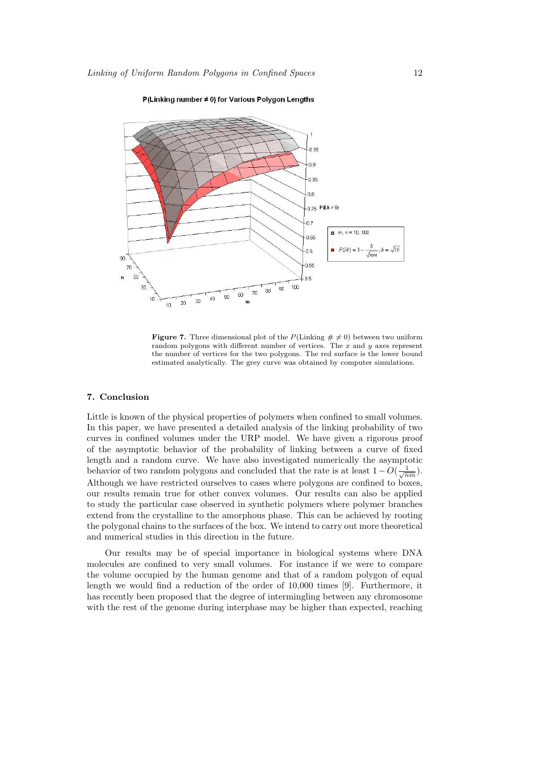

P(Linking number ≠ 0) for Various Polygon Lengths

**Figure 7.** Three dimensional plot of the  $P(\text{Linking } \# \neq 0)$  between two uniform random polygons with different number of vertices. The x and y axes represent the number of vertices for the two polygons. The red surface is the lower bound estimated analytically. The grey curve was obtained by computer simulations.

# 7. Conclusion

Little is known of the physical properties of polymers when confined to small volumes. In this paper, we have presented a detailed analysis of the linking probability of two curves in confined volumes under the URP model. We have given a rigorous proof of the asymptotic behavior of the probability of linking between a curve of fixed length and a random curve. We have also investigated numerically the asymptotic behavior of two random polygons and concluded that the rate is at least  $1 - O(\frac{1}{\sqrt{nm}})$ . Although we have restricted ourselves to cases where polygons are confined to boxes, our results remain true for other convex volumes. Our results can also be applied to study the particular case observed in synthetic polymers where polymer branches extend from the crystalline to the amorphous phase. This can be achieved by rooting the polygonal chains to the surfaces of the box. We intend to carry out more theoretical and numerical studies in this direction in the future.

Our results may be of special importance in biological systems where DNA molecules are confined to very small volumes. For instance if we were to compare the volume occupied by the human genome and that of a random polygon of equal length we would find a reduction of the order of 10,000 times [9]. Furthermore, it has recently been proposed that the degree of intermingling between any chromosome with the rest of the genome during interphase may be higher than expected, reaching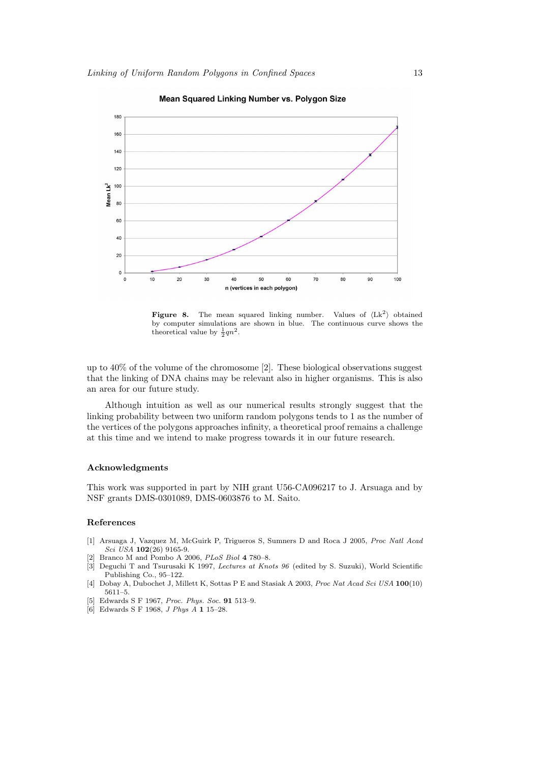

Mean Squared Linking Number vs. Polygon Size

Figure 8. The mean squared linking number. Values of  $\langle Lk^2 \rangle$  obtained by computer simulations are shown in blue. The continuous curve shows the theoretical value by  $\frac{1}{2}qn^2$ .

up to  $40\%$  of the volume of the chromosome [2]. These biological observations suggest that the linking of DNA chains may be relevant also in higher organisms. This is also an area for our future study.

Although intuition as well as our numerical results strongly suggest that the linking probability between two uniform random polygons tends to 1 as the number of the vertices of the polygons approaches infinity, a theoretical proof remains a challenge at this time and we intend to make progress towards it in our future research.

#### Acknowledgments

This work was supported in part by NIH grant U56-CA096217 to J. Arsuaga and by NSF grants DMS-0301089, DMS-0603876 to M. Saito.

#### References

- [1] Arsuaga J, Vazquez M, McGuirk P, Trigueros S, Sumners D and Roca J 2005, Proc Natl Acad  $Sci$  USA 102(26) 9165-9.
- Branco M and Pombo A 2006, PLoS Biol 4 780-8.
- [3] Deguchi T and Tsurusaki K 1997, Lectures at Knots 96 (edited by S. Suzuki), World Scientific Publishing Co., 95–122.
- [4] Dobay A, Dubochet J, Millett K, Sottas P E and Stasiak A 2003, Proc Nat Acad Sci USA 100(10) 5611–5.
- [5] Edwards S F 1967, Proc. Phys. Soc. 91 513–9.
- [6] Edwards S F 1968, J Phys A 1 15–28.